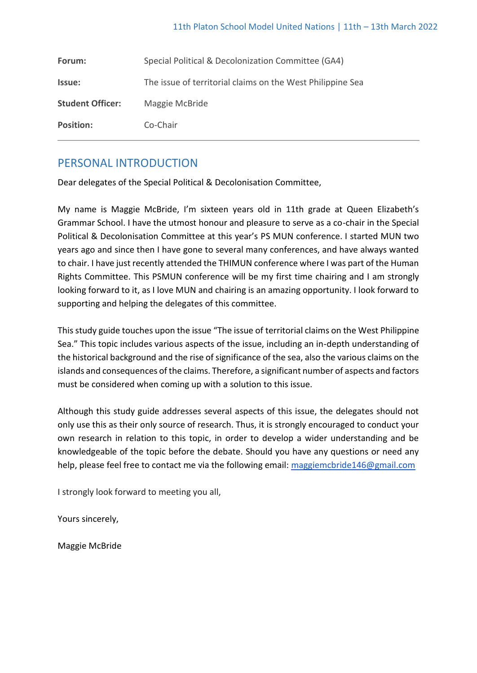| Forum:                  | Special Political & Decolonization Committee (GA4)         |
|-------------------------|------------------------------------------------------------|
| Issue:                  | The issue of territorial claims on the West Philippine Sea |
| <b>Student Officer:</b> | Maggie McBride                                             |
| <b>Position:</b>        | Co-Chair                                                   |

# PERSONAL INTRODUCTION

Dear delegates of the Special Political & Decolonisation Committee,

My name is Maggie McBride, I'm sixteen years old in 11th grade at Queen Elizabeth's Grammar School. I have the utmost honour and pleasure to serve as a co-chair in the Special Political & Decolonisation Committee at this year's PS MUN conference. I started MUN two years ago and since then I have gone to several many conferences, and have always wanted to chair. I have just recently attended the THIMUN conference where I was part of the Human Rights Committee. This PSMUN conference will be my first time chairing and I am strongly looking forward to it, as I love MUN and chairing is an amazing opportunity. I look forward to supporting and helping the delegates of this committee.

This study guide touches upon the issue "The issue of territorial claims on the West Philippine Sea." This topic includes various aspects of the issue, including an in-depth understanding of the historical background and the rise of significance of the sea, also the various claims on the islands and consequences of the claims. Therefore, a significant number of aspects and factors must be considered when coming up with a solution to this issue.

Although this study guide addresses several aspects of this issue, the delegates should not only use this as their only source of research. Thus, it is strongly encouraged to conduct your own research in relation to this topic, in order to develop a wider understanding and be knowledgeable of the topic before the debate. Should you have any questions or need any help, please feel free to contact me via the following email: [maggiemcbride146@gmail.com](mailto:maggiemcbride146@gmail.com)

I strongly look forward to meeting you all,

Yours sincerely,

Maggie McBride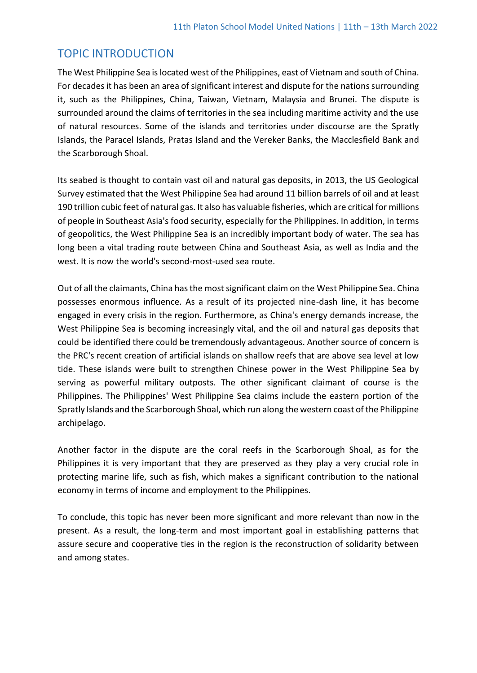## TOPIC INTRODUCTION

The West Philippine Sea is located west of the Philippines, east of Vietnam and south of China. For decades it has been an area of significant interest and dispute for the nations surrounding it, such as the Philippines, China, Taiwan, Vietnam, Malaysia and Brunei. The dispute is surrounded around the claims of territories in the sea including maritime activity and the use of natural resources. Some of the islands and territories under discourse are the Spratly Islands, the Paracel Islands, Pratas Island and the Vereker Banks, the Macclesfield Bank and the Scarborough Shoal.

Its seabed is thought to contain vast oil and natural gas deposits, in 2013, the US Geological Survey estimated that the West Philippine Sea had around 11 billion barrels of oil and at least 190 trillion cubic feet of natural gas. It also has valuable fisheries, which are critical for millions of people in Southeast Asia's food security, especially for the Philippines. In addition, in terms of geopolitics, the West Philippine Sea is an incredibly important body of water. The sea has long been a vital trading route between China and Southeast Asia, as well as India and the west. It is now the world's second-most-used sea route.

Out of all the claimants, China has the most significant claim on the West Philippine Sea. China possesses enormous influence. As a result of its projected nine-dash line, it has become engaged in every crisis in the region. Furthermore, as China's energy demands increase, the West Philippine Sea is becoming increasingly vital, and the oil and natural gas deposits that could be identified there could be tremendously advantageous. Another source of concern is the PRC's recent creation of artificial islands on shallow reefs that are above sea level at low tide. These islands were built to strengthen Chinese power in the West Philippine Sea by serving as powerful military outposts. The other significant claimant of course is the Philippines. The Philippines' West Philippine Sea claims include the eastern portion of the Spratly Islands and the Scarborough Shoal, which run along the western coast of the Philippine archipelago.

Another factor in the dispute are the coral reefs in the Scarborough Shoal, as for the Philippines it is very important that they are preserved as they play a very crucial role in protecting marine life, such as fish, which makes a significant contribution to the national economy in terms of income and employment to the Philippines.

To conclude, this topic has never been more significant and more relevant than now in the present. As a result, the long-term and most important goal in establishing patterns that assure secure and cooperative ties in the region is the reconstruction of solidarity between and among states.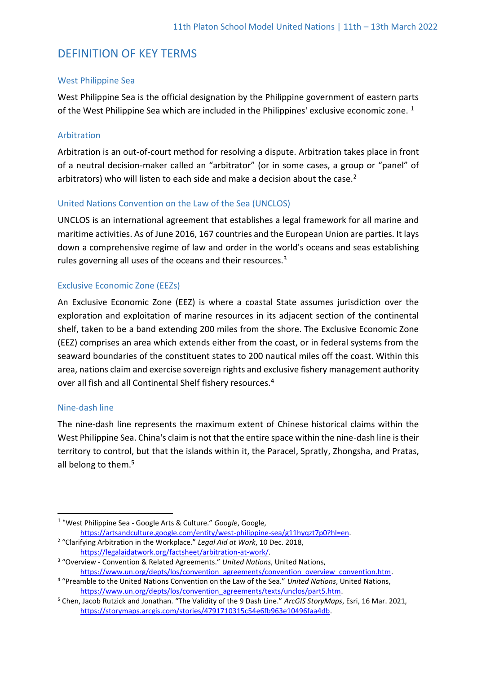## DEFINITION OF KEY TERMS

### West Philippine Sea

West Philippine Sea is the official designation by the Philippine government of eastern parts of the West Philippine Sea which are included in the Philippines' exclusive economic zone.  $1$ 

### Arbitration

Arbitration is an out-of-court method for resolving a dispute. Arbitration takes place in front of a neutral decision-maker called an "arbitrator" (or in some cases, a group or "panel" of arbitrators) who will listen to each side and make a decision about the case.<sup>2</sup>

### United Nations Convention on the Law of the Sea (UNCLOS)

UNCLOS is an international agreement that establishes a legal framework for all marine and maritime activities. As of June 2016, 167 countries and the European Union are parties. It lays down a comprehensive regime of law and order in the world's oceans and seas establishing rules governing all uses of the oceans and their resources.<sup>3</sup>

### Exclusive Economic Zone (EEZs)

An Exclusive Economic Zone (EEZ) is where a coastal State assumes jurisdiction over the exploration and exploitation of marine resources in its adjacent section of the continental shelf, taken to be a band extending 200 miles from the shore. The Exclusive Economic Zone (EEZ) comprises an area which extends either from the coast, or in federal systems from the seaward boundaries of the constituent states to 200 nautical miles off the coast. Within this area, nations claim and exercise sovereign rights and exclusive fishery management authority over all fish and all Continental Shelf fishery resources.<sup>4</sup>

### Nine-dash line

The nine-dash line represents the maximum extent of Chinese historical claims within the West Philippine Sea. China's claim is not that the entire space within the nine-dash line is their territory to control, but that the islands within it, the Paracel, Spratly, Zhongsha, and Pratas, all belong to them.<sup>5</sup>

<sup>1</sup> "West Philippine Sea - Google Arts & Culture." *Google*, Google, [https://artsandculture.google.com/entity/west-philippine-sea/g11hyqzt7p0?hl=en.](https://artsandculture.google.com/entity/west-philippine-sea/g11hyqzt7p0?hl=en)

<sup>2</sup> "Clarifying Arbitration in the Workplace." *Legal Aid at Work*, 10 Dec. 2018, [https://legalaidatwork.org/factsheet/arbitration-at-work/.](https://legalaidatwork.org/factsheet/arbitration-at-work/)

<sup>3</sup> "Overview - Convention & Related Agreements." *United Nations*, United Nations, [https://www.un.org/depts/los/convention\\_agreements/convention\\_overview\\_convention.htm.](https://www.un.org/depts/los/convention_agreements/convention_overview_convention.htm)

<sup>4</sup> "Preamble to the United Nations Convention on the Law of the Sea." *United Nations*, United Nations, [https://www.un.org/depts/los/convention\\_agreements/texts/unclos/part5.htm.](https://www.un.org/depts/los/convention_agreements/texts/unclos/part5.htm)

<sup>5</sup> Chen, Jacob Rutzick and Jonathan. "The Validity of the 9 Dash Line." *ArcGIS StoryMaps*, Esri, 16 Mar. 2021, [https://storymaps.arcgis.com/stories/4791710315c54e6fb963e10496faa4db.](https://storymaps.arcgis.com/stories/4791710315c54e6fb963e10496faa4db)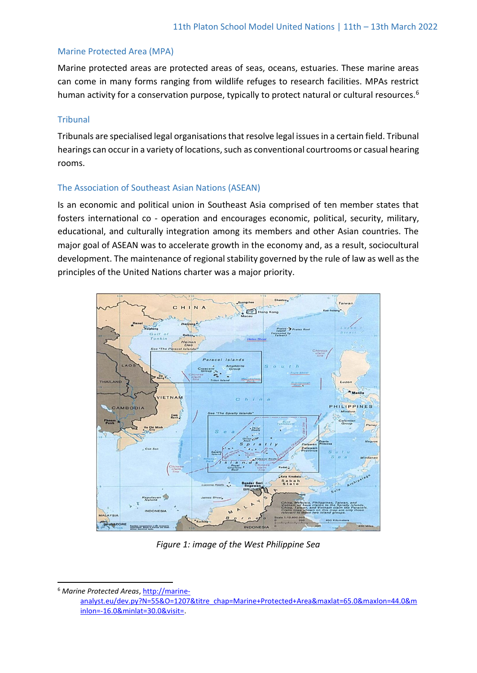### Marine Protected Area (MPA)

Marine protected areas are protected areas of seas, oceans, estuaries. These marine areas can come in many forms ranging from wildlife refuges to research facilities. MPAs restrict human activity for a conservation purpose, typically to protect natural or cultural resources.<sup>6</sup>

### Tribunal

Tribunals are specialised legal organisations that resolve legal issues in a certain field. Tribunal hearings can occur in a variety of locations, such as conventional courtrooms or casual hearing rooms.

### The Association of Southeast Asian Nations (ASEAN)

Is an economic and political union in Southeast Asia comprised of ten member states that fosters international co - operation and encourages economic, political, security, military, educational, and culturally integration among its members and other Asian countries. The major goal of ASEAN was to accelerate growth in the economy and, as a result, sociocultural development. The maintenance of regional stability governed by the rule of law as well as the principles of the United Nations charter was a major priority.



*Figure 1: image of the West Philippine Sea*

<sup>6</sup> *Marine Protected Areas*[, http://marine-](http://marine-analyst.eu/dev.py?N=55&O=1207&titre_chap=Marine+Protected+Area&maxlat=65.0&maxlon=44.0&minlon=-16.0&minlat=30.0&visit=)

[analyst.eu/dev.py?N=55&O=1207&titre\\_chap=Marine+Protected+Area&maxlat=65.0&maxlon=44.0&m](http://marine-analyst.eu/dev.py?N=55&O=1207&titre_chap=Marine+Protected+Area&maxlat=65.0&maxlon=44.0&minlon=-16.0&minlat=30.0&visit=) [inlon=-16.0&minlat=30.0&visit=](http://marine-analyst.eu/dev.py?N=55&O=1207&titre_chap=Marine+Protected+Area&maxlat=65.0&maxlon=44.0&minlon=-16.0&minlat=30.0&visit=).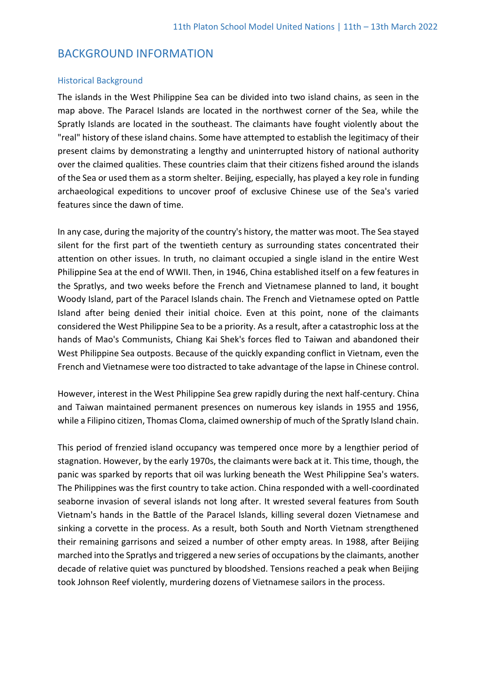## BACKGROUND INFORMATION

#### Historical Background

The islands in the West Philippine Sea can be divided into two island chains, as seen in the map above. The Paracel Islands are located in the northwest corner of the Sea, while the Spratly Islands are located in the southeast. The claimants have fought violently about the "real" history of these island chains. Some have attempted to establish the legitimacy of their present claims by demonstrating a lengthy and uninterrupted history of national authority over the claimed qualities. These countries claim that their citizens fished around the islands of the Sea or used them as a storm shelter. Beijing, especially, has played a key role in funding archaeological expeditions to uncover proof of exclusive Chinese use of the Sea's varied features since the dawn of time.

In any case, during the majority of the country's history, the matter was moot. The Sea stayed silent for the first part of the twentieth century as surrounding states concentrated their attention on other issues. In truth, no claimant occupied a single island in the entire West Philippine Sea at the end of WWII. Then, in 1946, China established itself on a few features in the Spratlys, and two weeks before the French and Vietnamese planned to land, it bought Woody Island, part of the Paracel Islands chain. The French and Vietnamese opted on Pattle Island after being denied their initial choice. Even at this point, none of the claimants considered the West Philippine Sea to be a priority. As a result, after a catastrophic loss at the hands of Mao's Communists, Chiang Kai Shek's forces fled to Taiwan and abandoned their West Philippine Sea outposts. Because of the quickly expanding conflict in Vietnam, even the French and Vietnamese were too distracted to take advantage of the lapse in Chinese control.

However, interest in the West Philippine Sea grew rapidly during the next half-century. China and Taiwan maintained permanent presences on numerous key islands in 1955 and 1956, while a Filipino citizen, Thomas Cloma, claimed ownership of much of the Spratly Island chain.

This period of frenzied island occupancy was tempered once more by a lengthier period of stagnation. However, by the early 1970s, the claimants were back at it. This time, though, the panic was sparked by reports that oil was lurking beneath the West Philippine Sea's waters. The Philippines was the first country to take action. China responded with a well-coordinated seaborne invasion of several islands not long after. It wrested several features from South Vietnam's hands in the Battle of the Paracel Islands, killing several dozen Vietnamese and sinking a corvette in the process. As a result, both South and North Vietnam strengthened their remaining garrisons and seized a number of other empty areas. In 1988, after Beijing marched into the Spratlys and triggered a new series of occupations by the claimants, another decade of relative quiet was punctured by bloodshed. Tensions reached a peak when Beijing took Johnson Reef violently, murdering dozens of Vietnamese sailors in the process.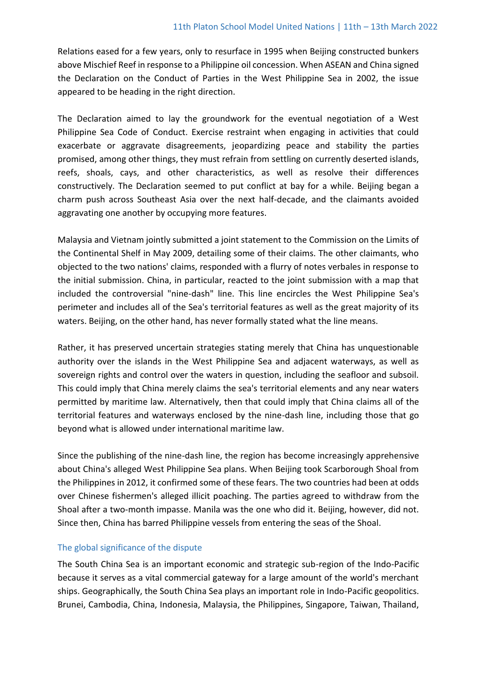Relations eased for a few years, only to resurface in 1995 when Beijing constructed bunkers above Mischief Reef in response to a Philippine oil concession. When ASEAN and China signed the Declaration on the Conduct of Parties in the West Philippine Sea in 2002, the issue appeared to be heading in the right direction.

The Declaration aimed to lay the groundwork for the eventual negotiation of a West Philippine Sea Code of Conduct. Exercise restraint when engaging in activities that could exacerbate or aggravate disagreements, jeopardizing peace and stability the parties promised, among other things, they must refrain from settling on currently deserted islands, reefs, shoals, cays, and other characteristics, as well as resolve their differences constructively. The Declaration seemed to put conflict at bay for a while. Beijing began a charm push across Southeast Asia over the next half-decade, and the claimants avoided aggravating one another by occupying more features.

Malaysia and Vietnam jointly submitted a joint statement to the Commission on the Limits of the Continental Shelf in May 2009, detailing some of their claims. The other claimants, who objected to the two nations' claims, responded with a flurry of notes verbales in response to the initial submission. China, in particular, reacted to the joint submission with a map that included the controversial "nine-dash" line. This line encircles the West Philippine Sea's perimeter and includes all of the Sea's territorial features as well as the great majority of its waters. Beijing, on the other hand, has never formally stated what the line means.

Rather, it has preserved uncertain strategies stating merely that China has unquestionable authority over the islands in the West Philippine Sea and adjacent waterways, as well as sovereign rights and control over the waters in question, including the seafloor and subsoil. This could imply that China merely claims the sea's territorial elements and any near waters permitted by maritime law. Alternatively, then that could imply that China claims all of the territorial features and waterways enclosed by the nine-dash line, including those that go beyond what is allowed under international maritime law.

Since the publishing of the nine-dash line, the region has become increasingly apprehensive about China's alleged West Philippine Sea plans. When Beijing took Scarborough Shoal from the Philippines in 2012, it confirmed some of these fears. The two countries had been at odds over Chinese fishermen's alleged illicit poaching. The parties agreed to withdraw from the Shoal after a two-month impasse. Manila was the one who did it. Beijing, however, did not. Since then, China has barred Philippine vessels from entering the seas of the Shoal.

### The global significance of the dispute

The South China Sea is an important economic and strategic sub-region of the Indo-Pacific because it serves as a vital commercial gateway for a large amount of the world's merchant ships. Geographically, the South China Sea plays an important role in Indo-Pacific geopolitics. Brunei, Cambodia, China, Indonesia, Malaysia, the Philippines, Singapore, Taiwan, Thailand,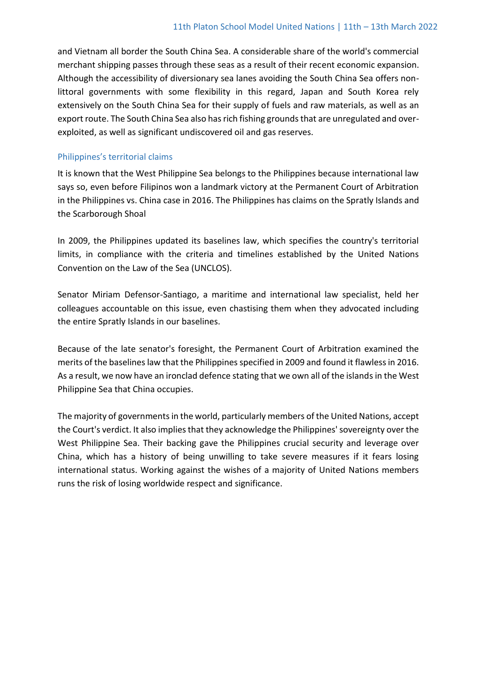and Vietnam all border the South China Sea. A considerable share of the world's commercial merchant shipping passes through these seas as a result of their recent economic expansion. Although the accessibility of diversionary sea lanes avoiding the South China Sea offers nonlittoral governments with some flexibility in this regard, Japan and South Korea rely extensively on the South China Sea for their supply of fuels and raw materials, as well as an export route. The South China Sea also has rich fishing grounds that are unregulated and overexploited, as well as significant undiscovered oil and gas reserves.

### Philippines's territorial claims

It is known that the West Philippine Sea belongs to the Philippines because international law says so, even before Filipinos won a landmark victory at the Permanent Court of Arbitration in the Philippines vs. China case in 2016. The Philippines has claims on the Spratly Islands and the Scarborough Shoal

In 2009, the Philippines updated its baselines law, which specifies the country's territorial limits, in compliance with the criteria and timelines established by the United Nations Convention on the Law of the Sea (UNCLOS).

Senator Miriam Defensor-Santiago, a maritime and international law specialist, held her colleagues accountable on this issue, even chastising them when they advocated including the entire Spratly Islands in our baselines.

Because of the late senator's foresight, the Permanent Court of Arbitration examined the merits of the baselines law that the Philippines specified in 2009 and found it flawless in 2016. As a result, we now have an ironclad defence stating that we own all of the islands in the West Philippine Sea that China occupies.

The majority of governments in the world, particularly members of the United Nations, accept the Court's verdict. It also implies that they acknowledge the Philippines' sovereignty over the West Philippine Sea. Their backing gave the Philippines crucial security and leverage over China, which has a history of being unwilling to take severe measures if it fears losing international status. Working against the wishes of a majority of United Nations members runs the risk of losing worldwide respect and significance.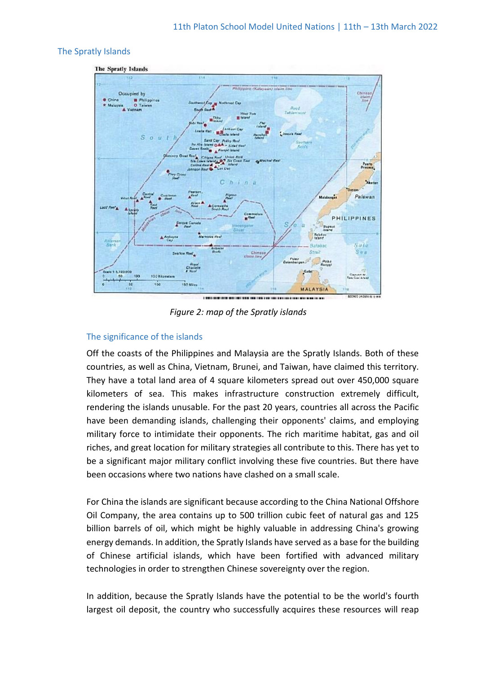### The Spratly Islands



*Figure 2: map of the Spratly islands*

### The significance of the islands

Off the coasts of the Philippines and Malaysia are the Spratly Islands. Both of these countries, as well as China, Vietnam, Brunei, and Taiwan, have claimed this territory. They have a total land area of 4 square kilometers spread out over 450,000 square kilometers of sea. This makes infrastructure construction extremely difficult, rendering the islands unusable. For the past 20 years, countries all across the Pacific have been demanding islands, challenging their opponents' claims, and employing military force to intimidate their opponents. The rich maritime habitat, gas and oil riches, and great location for military strategies all contribute to this. There has yet to be a significant major military conflict involving these five countries. But there have been occasions where two nations have clashed on a small scale.

For China the islands are significant because according to the China National Offshore Oil Company, the area contains up to 500 trillion cubic feet of natural gas and 125 billion barrels of oil, which might be highly valuable in addressing China's growing energy demands. In addition, the Spratly Islands have served as a base for the building of Chinese artificial islands, which have been fortified with advanced military technologies in order to strengthen Chinese sovereignty over the region.

In addition, because the Spratly Islands have the potential to be the world's fourth largest oil deposit, the country who successfully acquires these resources will reap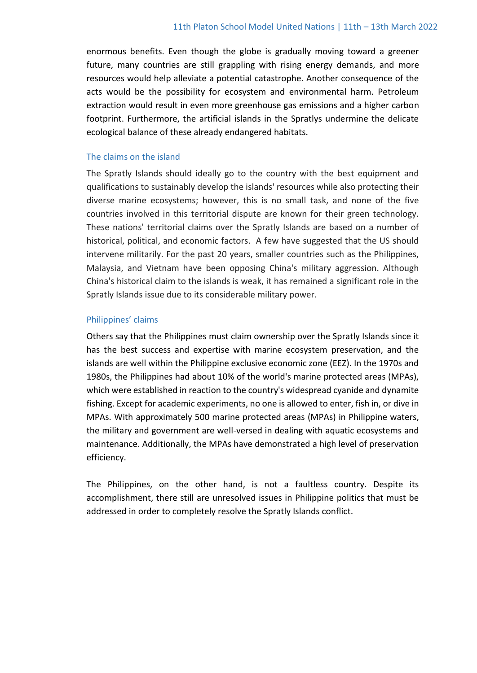enormous benefits. Even though the globe is gradually moving toward a greener future, many countries are still grappling with rising energy demands, and more resources would help alleviate a potential catastrophe. Another consequence of the acts would be the possibility for ecosystem and environmental harm. Petroleum extraction would result in even more greenhouse gas emissions and a higher carbon footprint. Furthermore, the artificial islands in the Spratlys undermine the delicate ecological balance of these already endangered habitats.

#### The claims on the island

The Spratly Islands should ideally go to the country with the best equipment and qualifications to sustainably develop the islands' resources while also protecting their diverse marine ecosystems; however, this is no small task, and none of the five countries involved in this territorial dispute are known for their green technology. These nations' territorial claims over the Spratly Islands are based on a number of historical, political, and economic factors. A few have suggested that the US should intervene militarily. For the past 20 years, smaller countries such as the Philippines, Malaysia, and Vietnam have been opposing China's military aggression. Although China's historical claim to the islands is weak, it has remained a significant role in the Spratly Islands issue due to its considerable military power.

#### Philippines' claims

Others say that the Philippines must claim ownership over the Spratly Islands since it has the best success and expertise with marine ecosystem preservation, and the islands are well within the Philippine exclusive economic zone (EEZ). In the 1970s and 1980s, the Philippines had about 10% of the world's marine protected areas (MPAs), which were established in reaction to the country's widespread cyanide and dynamite fishing. Except for academic experiments, no one is allowed to enter, fish in, or dive in MPAs. With approximately 500 marine protected areas (MPAs) in Philippine waters, the military and government are well-versed in dealing with aquatic ecosystems and maintenance. Additionally, the MPAs have demonstrated a high level of preservation efficiency.

The Philippines, on the other hand, is not a faultless country. Despite its accomplishment, there still are unresolved issues in Philippine politics that must be addressed in order to completely resolve the Spratly Islands conflict.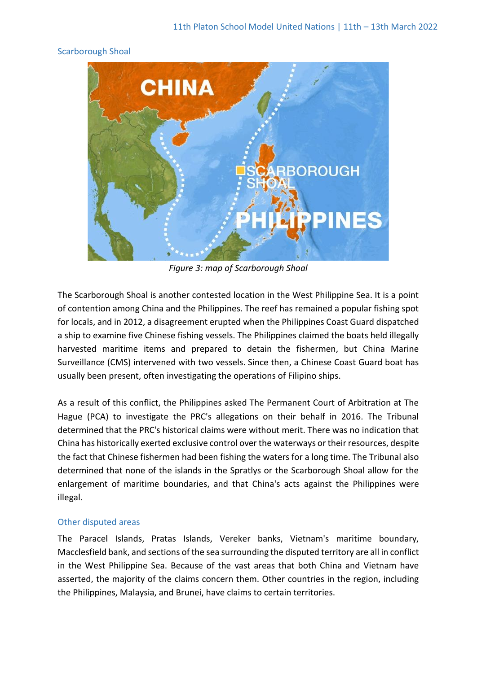#### Scarborough Shoal



*Figure 3: map of Scarborough Shoal*

The Scarborough Shoal is another contested location in the West Philippine Sea. It is a point of contention among China and the Philippines. The reef has remained a popular fishing spot for locals, and in 2012, a disagreement erupted when the Philippines Coast Guard dispatched a ship to examine five Chinese fishing vessels. The Philippines claimed the boats held illegally harvested maritime items and prepared to detain the fishermen, but China Marine Surveillance (CMS) intervened with two vessels. Since then, a Chinese Coast Guard boat has usually been present, often investigating the operations of Filipino ships.

As a result of this conflict, the Philippines asked The Permanent Court of Arbitration at The Hague (PCA) to investigate the PRC's allegations on their behalf in 2016. The Tribunal determined that the PRC's historical claims were without merit. There was no indication that China has historically exerted exclusive control over the waterways or their resources, despite the fact that Chinese fishermen had been fishing the waters for a long time. The Tribunal also determined that none of the islands in the Spratlys or the Scarborough Shoal allow for the enlargement of maritime boundaries, and that China's acts against the Philippines were illegal.

### Other disputed areas

The Paracel Islands, Pratas Islands, Vereker banks, Vietnam's maritime boundary, Macclesfield bank, and sections of the sea surrounding the disputed territory are all in conflict in the West Philippine Sea. Because of the vast areas that both China and Vietnam have asserted, the majority of the claims concern them. Other countries in the region, including the Philippines, Malaysia, and Brunei, have claims to certain territories.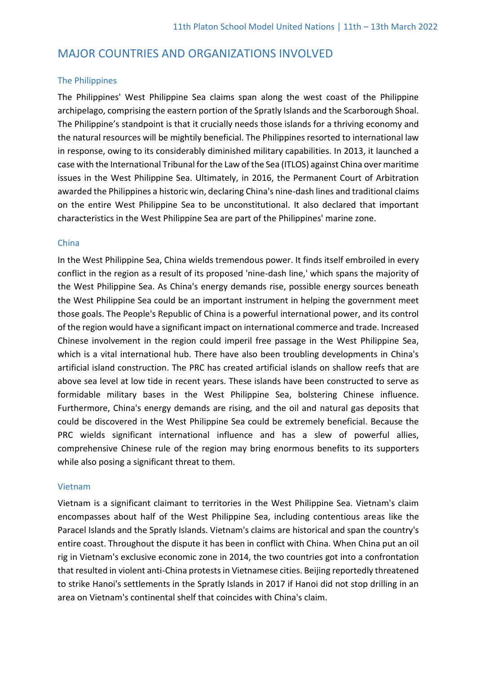## MAJOR COUNTRIES AND ORGANIZATIONS INVOLVED

#### The Philippines

The Philippines' West Philippine Sea claims span along the west coast of the Philippine archipelago, comprising the eastern portion of the Spratly Islands and the Scarborough Shoal. The Philippine's standpoint is that it crucially needs those islands for a thriving economy and the natural resources will be mightily beneficial. The Philippines resorted to international law in response, owing to its considerably diminished military capabilities. In 2013, it launched a case with the International Tribunal for the Law of the Sea (ITLOS) against China over maritime issues in the West Philippine Sea. Ultimately, in 2016, the Permanent Court of Arbitration awarded the Philippines a historic win, declaring China's nine-dash lines and traditional claims on the entire West Philippine Sea to be unconstitutional. It also declared that important characteristics in the West Philippine Sea are part of the Philippines' marine zone.

#### China

In the West Philippine Sea, China wields tremendous power. It finds itself embroiled in every conflict in the region as a result of its proposed 'nine-dash line,' which spans the majority of the West Philippine Sea. As China's energy demands rise, possible energy sources beneath the West Philippine Sea could be an important instrument in helping the government meet those goals. The People's Republic of China is a powerful international power, and its control of the region would have a significant impact on international commerce and trade. Increased Chinese involvement in the region could imperil free passage in the West Philippine Sea, which is a vital international hub. There have also been troubling developments in China's artificial island construction. The PRC has created artificial islands on shallow reefs that are above sea level at low tide in recent years. These islands have been constructed to serve as formidable military bases in the West Philippine Sea, bolstering Chinese influence. Furthermore, China's energy demands are rising, and the oil and natural gas deposits that could be discovered in the West Philippine Sea could be extremely beneficial. Because the PRC wields significant international influence and has a slew of powerful allies, comprehensive Chinese rule of the region may bring enormous benefits to its supporters while also posing a significant threat to them.

#### Vietnam

Vietnam is a significant claimant to territories in the West Philippine Sea. Vietnam's claim encompasses about half of the West Philippine Sea, including contentious areas like the Paracel Islands and the Spratly Islands. Vietnam's claims are historical and span the country's entire coast. Throughout the dispute it has been in conflict with China. When China put an oil rig in Vietnam's exclusive economic zone in 2014, the two countries got into a confrontation that resulted in violent anti-China protests in Vietnamese cities. Beijing reportedly threatened to strike Hanoi's settlements in the Spratly Islands in 2017 if Hanoi did not stop drilling in an area on Vietnam's continental shelf that coincides with China's claim.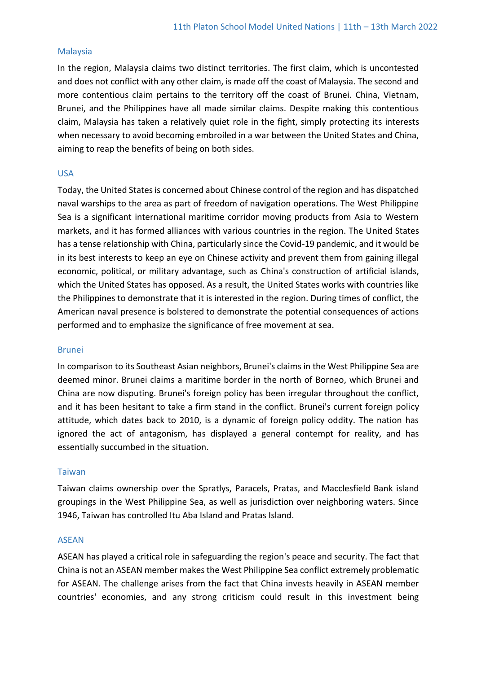### Malaysia

In the region, Malaysia claims two distinct territories. The first claim, which is uncontested and does not conflict with any other claim, is made off the coast of Malaysia. The second and more contentious claim pertains to the territory off the coast of Brunei. China, Vietnam, Brunei, and the Philippines have all made similar claims. Despite making this contentious claim, Malaysia has taken a relatively quiet role in the fight, simply protecting its interests when necessary to avoid becoming embroiled in a war between the United States and China, aiming to reap the benefits of being on both sides.

### USA

Today, the United States is concerned about Chinese control of the region and has dispatched naval warships to the area as part of freedom of navigation operations. The West Philippine Sea is a significant international maritime corridor moving products from Asia to Western markets, and it has formed alliances with various countries in the region. The United States has a tense relationship with China, particularly since the Covid-19 pandemic, and it would be in its best interests to keep an eye on Chinese activity and prevent them from gaining illegal economic, political, or military advantage, such as China's construction of artificial islands, which the United States has opposed. As a result, the United States works with countries like the Philippines to demonstrate that it is interested in the region. During times of conflict, the American naval presence is bolstered to demonstrate the potential consequences of actions performed and to emphasize the significance of free movement at sea.

### Brunei

In comparison to its Southeast Asian neighbors, Brunei's claims in the West Philippine Sea are deemed minor. Brunei claims a maritime border in the north of Borneo, which Brunei and China are now disputing. Brunei's foreign policy has been irregular throughout the conflict, and it has been hesitant to take a firm stand in the conflict. Brunei's current foreign policy attitude, which dates back to 2010, is a dynamic of foreign policy oddity. The nation has ignored the act of antagonism, has displayed a general contempt for reality, and has essentially succumbed in the situation.

### Taiwan

Taiwan claims ownership over the Spratlys, Paracels, Pratas, and Macclesfield Bank island groupings in the West Philippine Sea, as well as jurisdiction over neighboring waters. Since 1946, Taiwan has controlled Itu Aba Island and Pratas Island.

### ASEAN

ASEAN has played a critical role in safeguarding the region's peace and security. The fact that China is not an ASEAN member makes the West Philippine Sea conflict extremely problematic for ASEAN. The challenge arises from the fact that China invests heavily in ASEAN member countries' economies, and any strong criticism could result in this investment being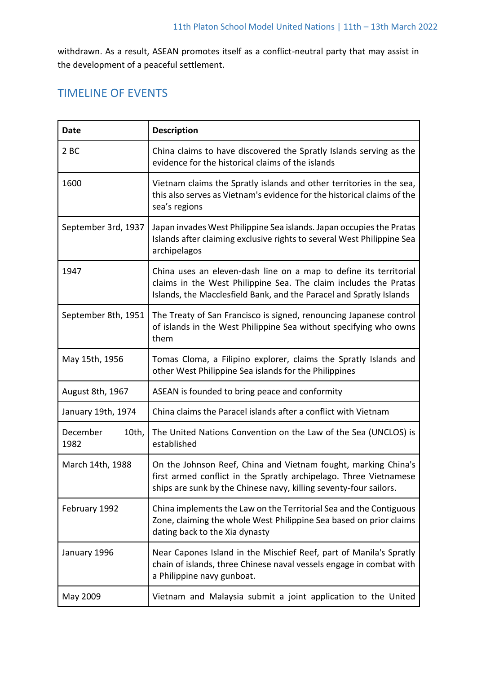withdrawn. As a result, ASEAN promotes itself as a conflict-neutral party that may assist in the development of a peaceful settlement.

# TIMELINE OF EVENTS

| <b>Date</b>               | <b>Description</b>                                                                                                                                                                                           |
|---------------------------|--------------------------------------------------------------------------------------------------------------------------------------------------------------------------------------------------------------|
| 2BC                       | China claims to have discovered the Spratly Islands serving as the<br>evidence for the historical claims of the islands                                                                                      |
| 1600                      | Vietnam claims the Spratly islands and other territories in the sea,<br>this also serves as Vietnam's evidence for the historical claims of the<br>sea's regions                                             |
| September 3rd, 1937       | Japan invades West Philippine Sea islands. Japan occupies the Pratas<br>Islands after claiming exclusive rights to several West Philippine Sea<br>archipelagos                                               |
| 1947                      | China uses an eleven-dash line on a map to define its territorial<br>claims in the West Philippine Sea. The claim includes the Pratas<br>Islands, the Macclesfield Bank, and the Paracel and Spratly Islands |
| September 8th, 1951       | The Treaty of San Francisco is signed, renouncing Japanese control<br>of islands in the West Philippine Sea without specifying who owns<br>them                                                              |
| May 15th, 1956            | Tomas Cloma, a Filipino explorer, claims the Spratly Islands and<br>other West Philippine Sea islands for the Philippines                                                                                    |
| August 8th, 1967          | ASEAN is founded to bring peace and conformity                                                                                                                                                               |
| January 19th, 1974        | China claims the Paracel islands after a conflict with Vietnam                                                                                                                                               |
| December<br>10th,<br>1982 | The United Nations Convention on the Law of the Sea (UNCLOS) is<br>established                                                                                                                               |
| March 14th, 1988          | On the Johnson Reef, China and Vietnam fought, marking China's<br>first armed conflict in the Spratly archipelago. Three Vietnamese<br>ships are sunk by the Chinese navy, killing seventy-four sailors.     |
| February 1992             | China implements the Law on the Territorial Sea and the Contiguous<br>Zone, claiming the whole West Philippine Sea based on prior claims<br>dating back to the Xia dynasty                                   |
| January 1996              | Near Capones Island in the Mischief Reef, part of Manila's Spratly<br>chain of islands, three Chinese naval vessels engage in combat with<br>a Philippine navy gunboat.                                      |
| May 2009                  | Vietnam and Malaysia submit a joint application to the United                                                                                                                                                |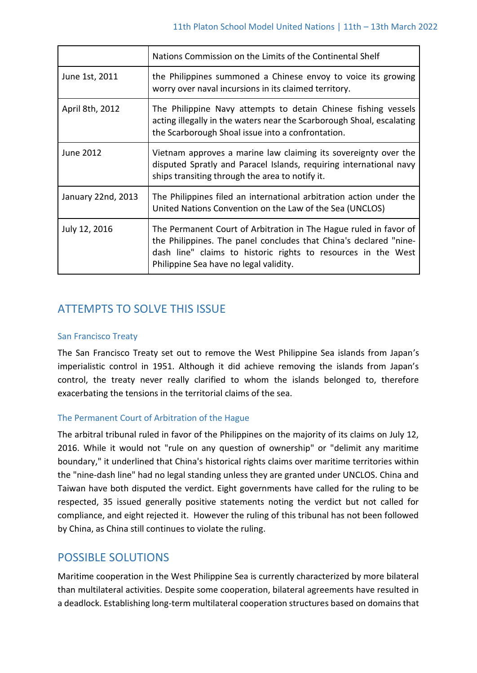|                    | Nations Commission on the Limits of the Continental Shelf                                                                                                                                                                                         |
|--------------------|---------------------------------------------------------------------------------------------------------------------------------------------------------------------------------------------------------------------------------------------------|
| June 1st, 2011     | the Philippines summoned a Chinese envoy to voice its growing<br>worry over naval incursions in its claimed territory.                                                                                                                            |
| April 8th, 2012    | The Philippine Navy attempts to detain Chinese fishing vessels<br>acting illegally in the waters near the Scarborough Shoal, escalating<br>the Scarborough Shoal issue into a confrontation.                                                      |
| June 2012          | Vietnam approves a marine law claiming its sovereignty over the<br>disputed Spratly and Paracel Islands, requiring international navy<br>ships transiting through the area to notify it.                                                          |
| January 22nd, 2013 | The Philippines filed an international arbitration action under the<br>United Nations Convention on the Law of the Sea (UNCLOS)                                                                                                                   |
| July 12, 2016      | The Permanent Court of Arbitration in The Hague ruled in favor of<br>the Philippines. The panel concludes that China's declared "nine-<br>dash line" claims to historic rights to resources in the West<br>Philippine Sea have no legal validity. |

# ATTEMPTS TO SOLVE THIS ISSUE

### San Francisco Treaty

The San Francisco Treaty set out to remove the West Philippine Sea islands from Japan's imperialistic control in 1951. Although it did achieve removing the islands from Japan's control, the treaty never really clarified to whom the islands belonged to, therefore exacerbating the tensions in the territorial claims of the sea.

### The Permanent Court of Arbitration of the Hague

The arbitral tribunal ruled in favor of the Philippines on the majority of its claims on July 12, 2016. While it would not "rule on any question of ownership" or "delimit any maritime boundary," it underlined that China's historical rights claims over maritime territories within the "nine-dash line" had no legal standing unless they are granted under UNCLOS. China and Taiwan have both disputed the verdict. Eight governments have called for the ruling to be respected, 35 issued generally positive statements noting the verdict but not called for compliance, and eight rejected it. However the ruling of this tribunal has not been followed by China, as China still continues to violate the ruling.

## POSSIBLE SOLUTIONS

Maritime cooperation in the West Philippine Sea is currently characterized by more bilateral than multilateral activities. Despite some cooperation, bilateral agreements have resulted in a deadlock. Establishing long-term multilateral cooperation structures based on domains that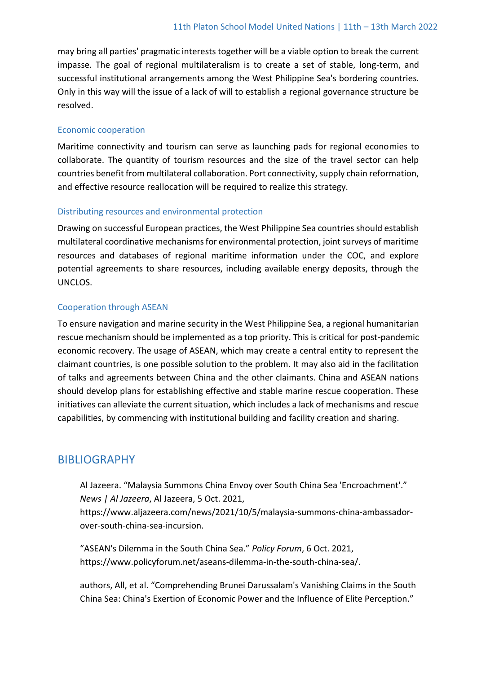may bring all parties' pragmatic interests together will be a viable option to break the current impasse. The goal of regional multilateralism is to create a set of stable, long-term, and successful institutional arrangements among the West Philippine Sea's bordering countries. Only in this way will the issue of a lack of will to establish a regional governance structure be resolved.

### Economic cooperation

Maritime connectivity and tourism can serve as launching pads for regional economies to collaborate. The quantity of tourism resources and the size of the travel sector can help countries benefit from multilateral collaboration. Port connectivity, supply chain reformation, and effective resource reallocation will be required to realize this strategy.

### Distributing resources and environmental protection

Drawing on successful European practices, the West Philippine Sea countries should establish multilateral coordinative mechanisms for environmental protection, joint surveys of maritime resources and databases of regional maritime information under the COC, and explore potential agreements to share resources, including available energy deposits, through the UNCLOS.

### Cooperation through ASEAN

To ensure navigation and marine security in the West Philippine Sea, a regional humanitarian rescue mechanism should be implemented as a top priority. This is critical for post-pandemic economic recovery. The usage of ASEAN, which may create a central entity to represent the claimant countries, is one possible solution to the problem. It may also aid in the facilitation of talks and agreements between China and the other claimants. China and ASEAN nations should develop plans for establishing effective and stable marine rescue cooperation. These initiatives can alleviate the current situation, which includes a lack of mechanisms and rescue capabilities, by commencing with institutional building and facility creation and sharing.

## BIBLIOGRAPHY

Al Jazeera. "Malaysia Summons China Envoy over South China Sea 'Encroachment'." *News | Al Jazeera*, Al Jazeera, 5 Oct. 2021,

https://www.aljazeera.com/news/2021/10/5/malaysia-summons-china-ambassadorover-south-china-sea-incursion.

"ASEAN's Dilemma in the South China Sea." *Policy Forum*, 6 Oct. 2021, https://www.policyforum.net/aseans-dilemma-in-the-south-china-sea/.

authors, All, et al. "Comprehending Brunei Darussalam's Vanishing Claims in the South China Sea: China's Exertion of Economic Power and the Influence of Elite Perception."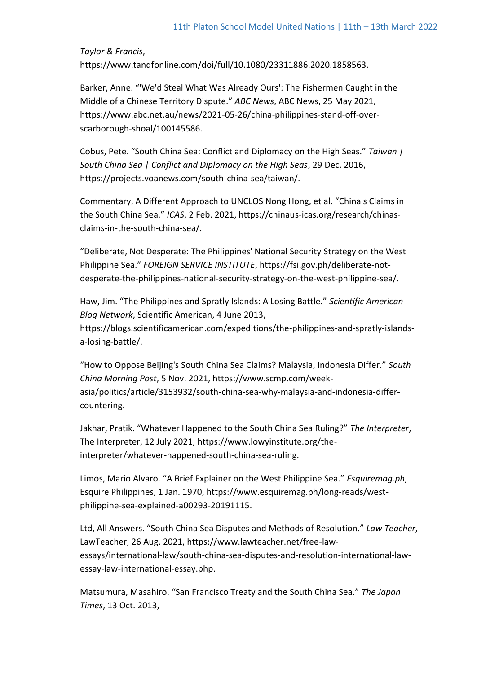*Taylor & Francis*, https://www.tandfonline.com/doi/full/10.1080/23311886.2020.1858563.

Barker, Anne. "'We'd Steal What Was Already Ours': The Fishermen Caught in the Middle of a Chinese Territory Dispute." *ABC News*, ABC News, 25 May 2021, https://www.abc.net.au/news/2021-05-26/china-philippines-stand-off-overscarborough-shoal/100145586.

Cobus, Pete. "South China Sea: Conflict and Diplomacy on the High Seas." *Taiwan | South China Sea | Conflict and Diplomacy on the High Seas*, 29 Dec. 2016, https://projects.voanews.com/south-china-sea/taiwan/.

Commentary, A Different Approach to UNCLOS Nong Hong, et al. "China's Claims in the South China Sea." *ICAS*, 2 Feb. 2021, https://chinaus-icas.org/research/chinasclaims-in-the-south-china-sea/.

"Deliberate, Not Desperate: The Philippines' National Security Strategy on the West Philippine Sea." *FOREIGN SERVICE INSTITUTE*, https://fsi.gov.ph/deliberate-notdesperate-the-philippines-national-security-strategy-on-the-west-philippine-sea/.

Haw, Jim. "The Philippines and Spratly Islands: A Losing Battle." *Scientific American Blog Network*, Scientific American, 4 June 2013, https://blogs.scientificamerican.com/expeditions/the-philippines-and-spratly-islandsa-losing-battle/.

"How to Oppose Beijing's South China Sea Claims? Malaysia, Indonesia Differ." *South China Morning Post*, 5 Nov. 2021, https://www.scmp.com/weekasia/politics/article/3153932/south-china-sea-why-malaysia-and-indonesia-differcountering.

Jakhar, Pratik. "Whatever Happened to the South China Sea Ruling?" *The Interpreter*, The Interpreter, 12 July 2021, https://www.lowyinstitute.org/theinterpreter/whatever-happened-south-china-sea-ruling.

Limos, Mario Alvaro. "A Brief Explainer on the West Philippine Sea." *Esquiremag.ph*, Esquire Philippines, 1 Jan. 1970, https://www.esquiremag.ph/long-reads/westphilippine-sea-explained-a00293-20191115.

Ltd, All Answers. "South China Sea Disputes and Methods of Resolution." *Law Teacher*, LawTeacher, 26 Aug. 2021, https://www.lawteacher.net/free-lawessays/international-law/south-china-sea-disputes-and-resolution-international-lawessay-law-international-essay.php.

Matsumura, Masahiro. "San Francisco Treaty and the South China Sea." *The Japan Times*, 13 Oct. 2013,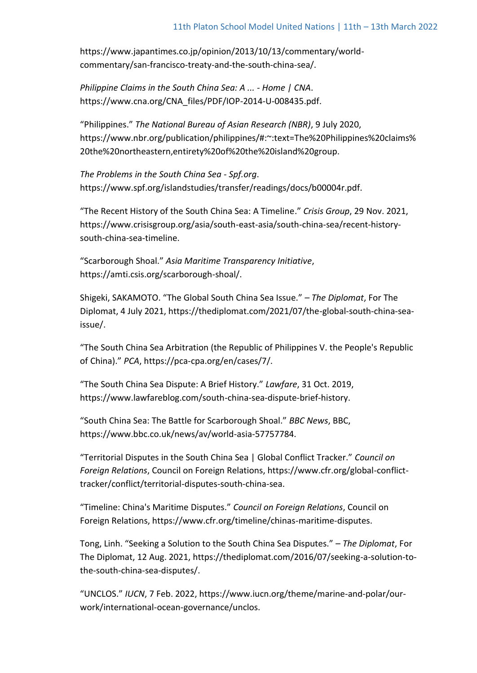https://www.japantimes.co.jp/opinion/2013/10/13/commentary/worldcommentary/san-francisco-treaty-and-the-south-china-sea/.

*Philippine Claims in the South China Sea: A ... - Home | CNA*. https://www.cna.org/CNA\_files/PDF/IOP-2014-U-008435.pdf.

"Philippines." *The National Bureau of Asian Research (NBR)*, 9 July 2020, https://www.nbr.org/publication/philippines/#:~:text=The%20Philippines%20claims% 20the%20northeastern,entirety%20of%20the%20island%20group.

*The Problems in the South China Sea - Spf.org*. https://www.spf.org/islandstudies/transfer/readings/docs/b00004r.pdf.

"The Recent History of the South China Sea: A Timeline." *Crisis Group*, 29 Nov. 2021, https://www.crisisgroup.org/asia/south-east-asia/south-china-sea/recent-historysouth-china-sea-timeline.

"Scarborough Shoal." *Asia Maritime Transparency Initiative*, https://amti.csis.org/scarborough-shoal/.

Shigeki, SAKAMOTO. "The Global South China Sea Issue." *– The Diplomat*, For The Diplomat, 4 July 2021, https://thediplomat.com/2021/07/the-global-south-china-seaissue/.

"The South China Sea Arbitration (the Republic of Philippines V. the People's Republic of China)." *PCA*, https://pca-cpa.org/en/cases/7/.

"The South China Sea Dispute: A Brief History." *Lawfare*, 31 Oct. 2019, https://www.lawfareblog.com/south-china-sea-dispute-brief-history.

"South China Sea: The Battle for Scarborough Shoal." *BBC News*, BBC, https://www.bbc.co.uk/news/av/world-asia-57757784.

"Territorial Disputes in the South China Sea | Global Conflict Tracker." *Council on Foreign Relations*, Council on Foreign Relations, https://www.cfr.org/global-conflicttracker/conflict/territorial-disputes-south-china-sea.

"Timeline: China's Maritime Disputes." *Council on Foreign Relations*, Council on Foreign Relations, https://www.cfr.org/timeline/chinas-maritime-disputes.

Tong, Linh. "Seeking a Solution to the South China Sea Disputes." *– The Diplomat*, For The Diplomat, 12 Aug. 2021, https://thediplomat.com/2016/07/seeking-a-solution-tothe-south-china-sea-disputes/.

"UNCLOS." *IUCN*, 7 Feb. 2022, https://www.iucn.org/theme/marine-and-polar/ourwork/international-ocean-governance/unclos.